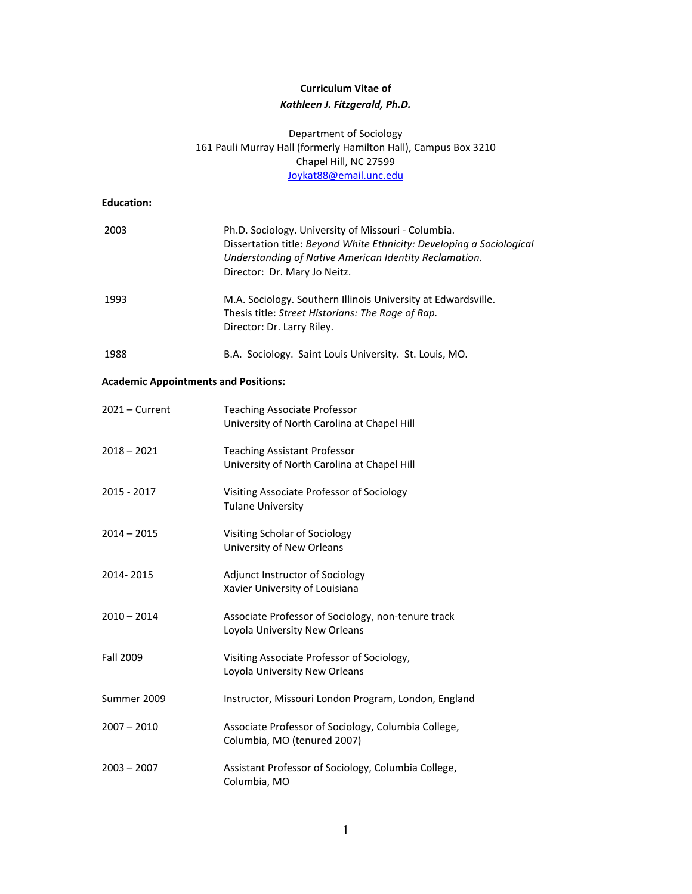# **Curriculum Vitae of** *Kathleen J. Fitzgerald, Ph.D.*

## Department of Sociology 161 Pauli Murray Hall (formerly Hamilton Hall), Campus Box 3210 Chapel Hill, NC 27599 Joykat88@email.unc.edu

## **Education:**

| 2003                                        | Ph.D. Sociology. University of Missouri - Columbia.<br>Dissertation title: Beyond White Ethnicity: Developing a Sociological<br>Understanding of Native American Identity Reclamation.<br>Director: Dr. Mary Jo Neitz. |
|---------------------------------------------|------------------------------------------------------------------------------------------------------------------------------------------------------------------------------------------------------------------------|
| 1993                                        | M.A. Sociology. Southern Illinois University at Edwardsville.<br>Thesis title: Street Historians: The Rage of Rap.<br>Director: Dr. Larry Riley.                                                                       |
| 1988                                        | B.A. Sociology. Saint Louis University. St. Louis, MO.                                                                                                                                                                 |
| <b>Academic Appointments and Positions:</b> |                                                                                                                                                                                                                        |
| $2021 -$ Current                            | <b>Teaching Associate Professor</b><br>University of North Carolina at Chapel Hill                                                                                                                                     |
| $2018 - 2021$                               | <b>Teaching Assistant Professor</b><br>University of North Carolina at Chapel Hill                                                                                                                                     |
| 2015 - 2017                                 | Visiting Associate Professor of Sociology<br><b>Tulane University</b>                                                                                                                                                  |
| $2014 - 2015$                               | Visiting Scholar of Sociology<br>University of New Orleans                                                                                                                                                             |
| 2014-2015                                   | Adjunct Instructor of Sociology<br>Xavier University of Louisiana                                                                                                                                                      |
| $2010 - 2014$                               | Associate Professor of Sociology, non-tenure track<br>Loyola University New Orleans                                                                                                                                    |
| <b>Fall 2009</b>                            | Visiting Associate Professor of Sociology,<br>Loyola University New Orleans                                                                                                                                            |
| Summer 2009                                 | Instructor, Missouri London Program, London, England                                                                                                                                                                   |
| $2007 - 2010$                               | Associate Professor of Sociology, Columbia College,<br>Columbia, MO (tenured 2007)                                                                                                                                     |
| $2003 - 2007$                               | Assistant Professor of Sociology, Columbia College,<br>Columbia, MO                                                                                                                                                    |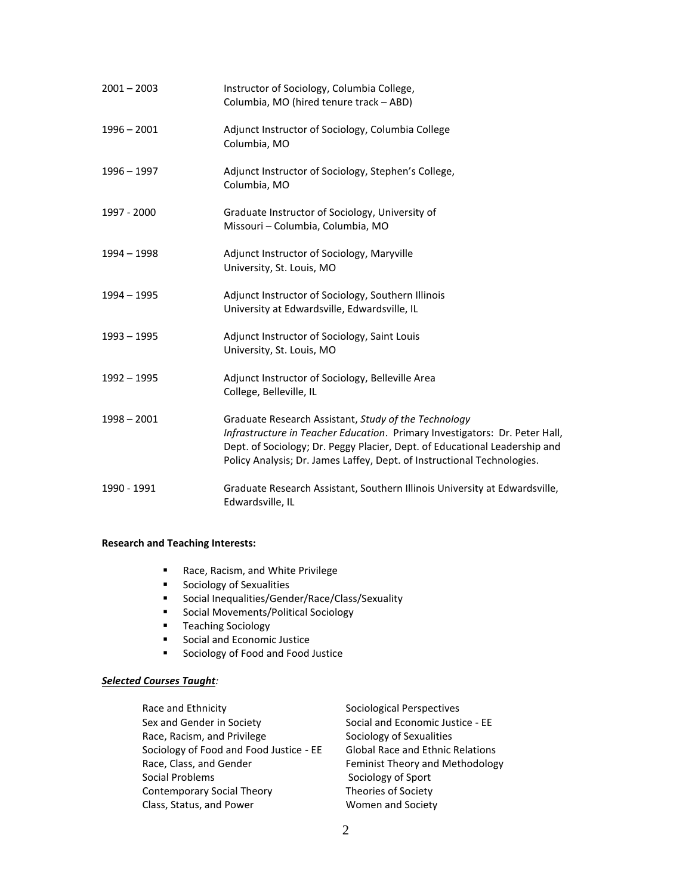| $2001 - 2003$ | Instructor of Sociology, Columbia College,<br>Columbia, MO (hired tenure track - ABD)                                                                                                                                                                                                        |
|---------------|----------------------------------------------------------------------------------------------------------------------------------------------------------------------------------------------------------------------------------------------------------------------------------------------|
| $1996 - 2001$ | Adjunct Instructor of Sociology, Columbia College<br>Columbia, MO                                                                                                                                                                                                                            |
| $1996 - 1997$ | Adjunct Instructor of Sociology, Stephen's College,<br>Columbia, MO                                                                                                                                                                                                                          |
| 1997 - 2000   | Graduate Instructor of Sociology, University of<br>Missouri - Columbia, Columbia, MO                                                                                                                                                                                                         |
| 1994 - 1998   | Adjunct Instructor of Sociology, Maryville<br>University, St. Louis, MO                                                                                                                                                                                                                      |
| $1994 - 1995$ | Adjunct Instructor of Sociology, Southern Illinois<br>University at Edwardsville, Edwardsville, IL                                                                                                                                                                                           |
| 1993 - 1995   | Adjunct Instructor of Sociology, Saint Louis<br>University, St. Louis, MO                                                                                                                                                                                                                    |
| $1992 - 1995$ | Adjunct Instructor of Sociology, Belleville Area<br>College, Belleville, IL                                                                                                                                                                                                                  |
| $1998 - 2001$ | Graduate Research Assistant, Study of the Technology<br>Infrastructure in Teacher Education. Primary Investigators: Dr. Peter Hall,<br>Dept. of Sociology; Dr. Peggy Placier, Dept. of Educational Leadership and<br>Policy Analysis; Dr. James Laffey, Dept. of Instructional Technologies. |
| 1990 - 1991   | Graduate Research Assistant, Southern Illinois University at Edwardsville,<br>Edwardsville, IL                                                                                                                                                                                               |

## **Research and Teaching Interests:**

- Race, Racism, and White Privilege
- Sociology of Sexualities
- Social Inequalities/Gender/Race/Class/Sexuality
- Social Movements/Political Sociology
- Teaching Sociology
- Social and Economic Justice
- Sociology of Food and Food Justice

## *Selected Courses Taught:*

| Race and Ethnicity                      | Sociological Perspectives               |
|-----------------------------------------|-----------------------------------------|
| Sex and Gender in Society               | Social and Economic Justice - EE        |
| Race, Racism, and Privilege             | Sociology of Sexualities                |
| Sociology of Food and Food Justice - EE | <b>Global Race and Ethnic Relations</b> |
| Race, Class, and Gender                 | Feminist Theory and Methodology         |
| Social Problems                         | Sociology of Sport                      |
| Contemporary Social Theory              | Theories of Society                     |
| Class, Status, and Power                | Women and Society                       |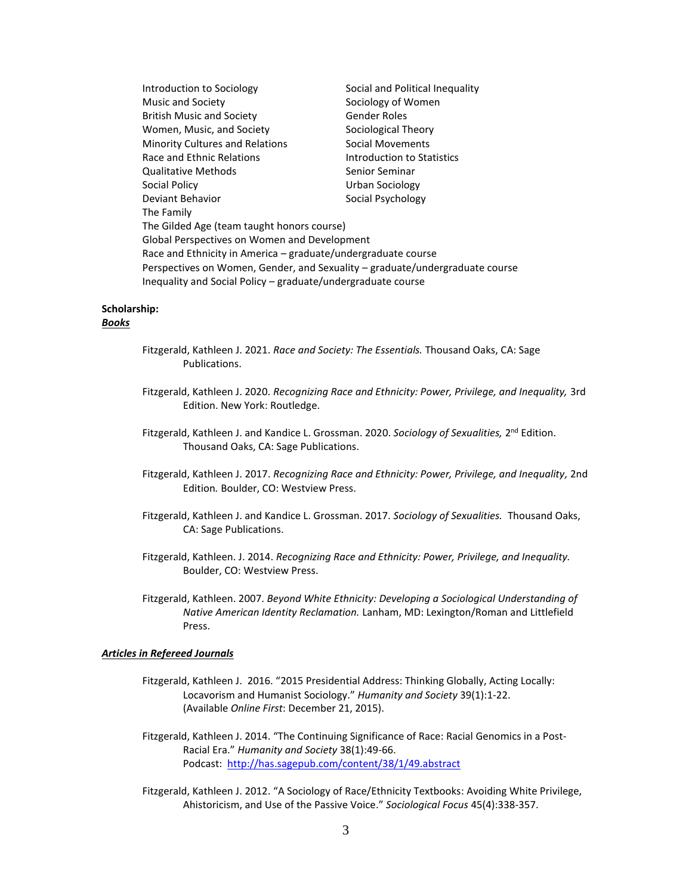| Introduction to Sociology                                                    | Social and Political Inequality |  |  |
|------------------------------------------------------------------------------|---------------------------------|--|--|
| Music and Society                                                            | Sociology of Women              |  |  |
| <b>British Music and Society</b>                                             | Gender Roles                    |  |  |
| Women, Music, and Society                                                    | Sociological Theory             |  |  |
| <b>Minority Cultures and Relations</b>                                       | Social Movements                |  |  |
| Race and Ethnic Relations                                                    | Introduction to Statistics      |  |  |
| <b>Qualitative Methods</b>                                                   | Senior Seminar                  |  |  |
| Social Policy                                                                | Urban Sociology                 |  |  |
| Deviant Behavior                                                             | Social Psychology               |  |  |
| The Family                                                                   |                                 |  |  |
| The Gilded Age (team taught honors course)                                   |                                 |  |  |
| Global Perspectives on Women and Development                                 |                                 |  |  |
| Race and Ethnicity in America – graduate/undergraduate course                |                                 |  |  |
| Perspectives on Women, Gender, and Sexuality – graduate/undergraduate course |                                 |  |  |
| Inequality and Social Policy - graduate/undergraduate course                 |                                 |  |  |

## **Scholarship:**

## *Books*

- Fitzgerald, Kathleen J. 2021. *Race and Society: The Essentials.* Thousand Oaks, CA: Sage Publications.
- Fitzgerald, Kathleen J. 2020. *Recognizing Race and Ethnicity: Power, Privilege, and Inequality,* 3rd Edition. New York: Routledge.
- Fitzgerald, Kathleen J. and Kandice L. Grossman. 2020. Sociology of Sexualities, 2<sup>nd</sup> Edition. Thousand Oaks, CA: Sage Publications.
- Fitzgerald, Kathleen J. 2017. *Recognizing Race and Ethnicity: Power, Privilege, and Inequality,* 2nd Edition*.* Boulder, CO: Westview Press.
- Fitzgerald, Kathleen J. and Kandice L. Grossman. 2017. *Sociology of Sexualities.* Thousand Oaks, CA: Sage Publications.
- Fitzgerald, Kathleen. J. 2014. *Recognizing Race and Ethnicity: Power, Privilege, and Inequality.* Boulder, CO: Westview Press.
- Fitzgerald, Kathleen. 2007. *Beyond White Ethnicity: Developing a Sociological Understanding of Native American Identity Reclamation.* Lanham, MD: Lexington/Roman and Littlefield Press.

## *Articles in Refereed Journals*

- Fitzgerald, Kathleen J. 2016. "2015 Presidential Address: Thinking Globally, Acting Locally: Locavorism and Humanist Sociology." *Humanity and Society* 39(1):1-22. (Available *Online First*: December 21, 2015).
- Fitzgerald, Kathleen J. 2014. "The Continuing Significance of Race: Racial Genomics in a Post-Racial Era." *Humanity and Society* 38(1):49-66. Podcast: <http://has.sagepub.com/content/38/1/49.abstract>
- Fitzgerald, Kathleen J. 2012. "A Sociology of Race/Ethnicity Textbooks: Avoiding White Privilege, Ahistoricism, and Use of the Passive Voice." *Sociological Focus* 45(4):338-357.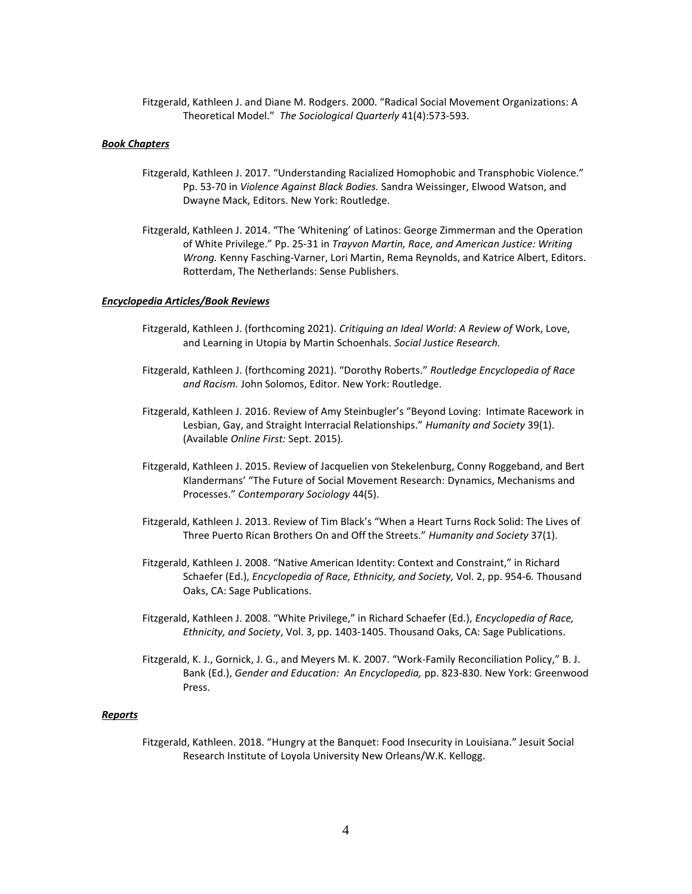Fitzgerald, Kathleen J. and Diane M. Rodgers. 2000. "Radical Social Movement Organizations: A Theoretical Model." *The Sociological Quarterly* 41(4):573-593.

## *Book Chapters*

- Fitzgerald, Kathleen J. 2017. "Understanding Racialized Homophobic and Transphobic Violence." Pp. 53-70 in *Violence Against Black Bodies.* Sandra Weissinger, Elwood Watson, and Dwayne Mack, Editors. New York: Routledge.
- Fitzgerald, Kathleen J. 2014. "The 'Whitening' of Latinos: George Zimmerman and the Operation of White Privilege." Pp. 25-31 in *Trayvon Martin, Race, and American Justice: Writing Wrong.* Kenny Fasching-Varner, Lori Martin, Rema Reynolds, and Katrice Albert, Editors. Rotterdam, The Netherlands: Sense Publishers.

### *Encyclopedia Articles/Book Reviews*

- Fitzgerald, Kathleen J. (forthcoming 2021). *Critiquing an Ideal World: A Review of* Work, Love, and Learning in Utopia by Martin Schoenhals. *Social Justice Research.*
- Fitzgerald, Kathleen J. (forthcoming 2021). "Dorothy Roberts." *Routledge Encyclopedia of Race and Racism.* John Solomos, Editor. New York: Routledge.
- Fitzgerald, Kathleen J. 2016. Review of Amy Steinbugler's "Beyond Loving: Intimate Racework in Lesbian, Gay, and Straight Interracial Relationships." *Humanity and Society* 39(1). (Available *Online First:* Sept. 2015).
- Fitzgerald, Kathleen J. 2015. Review of Jacquelien von Stekelenburg, Conny Roggeband, and Bert Klandermans' "The Future of Social Movement Research: Dynamics, Mechanisms and Processes." *Contemporary Sociology* 44(5).
- Fitzgerald, Kathleen J. 2013. Review of Tim Black's "When a Heart Turns Rock Solid: The Lives of Three Puerto Rican Brothers On and Off the Streets." *Humanity and Society* 37(1).
- Fitzgerald, Kathleen J. 2008. "Native American Identity: Context and Constraint," in Richard Schaefer (Ed.), *Encyclopedia of Race, Ethnicity, and Society,* Vol. 2, pp. 954-6*.* Thousand Oaks, CA: Sage Publications.
- Fitzgerald, Kathleen J. 2008. "White Privilege," in Richard Schaefer (Ed.), *Encyclopedia of Race, Ethnicity, and Society*, Vol. 3, pp. 1403-1405. Thousand Oaks, CA: Sage Publications.
- Fitzgerald, K. J., Gornick, J. G., and Meyers M. K. 2007. "Work-Family Reconciliation Policy," B. J. Bank (Ed.), *Gender and Education: An Encyclopedia,* pp. 823-830. New York: Greenwood Press.

#### *Reports*

Fitzgerald, Kathleen. 2018. "Hungry at the Banquet: Food Insecurity in Louisiana." Jesuit Social Research Institute of Loyola University New Orleans/W.K. Kellogg.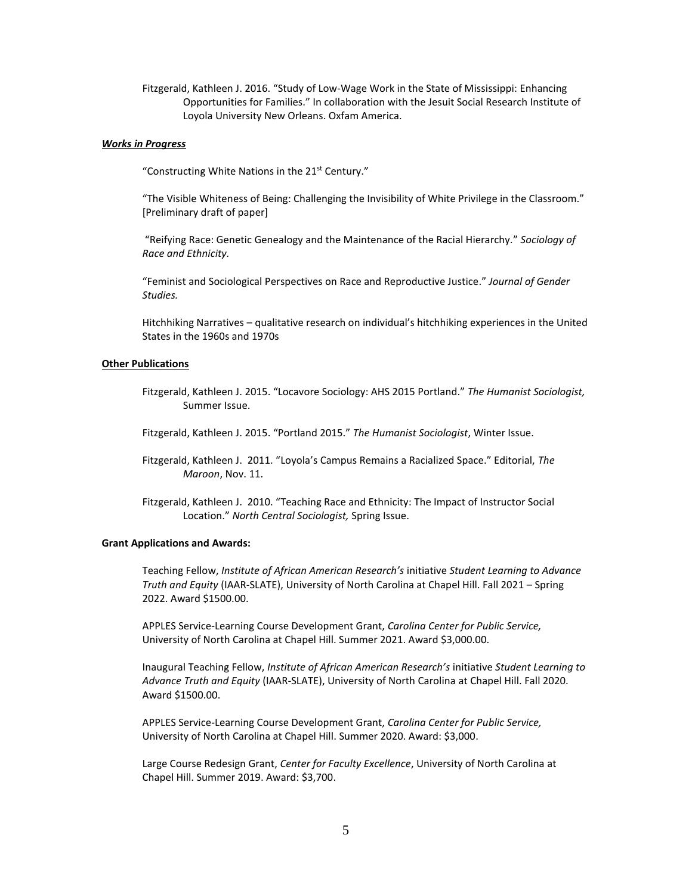Fitzgerald, Kathleen J. 2016. "Study of Low-Wage Work in the State of Mississippi: Enhancing Opportunities for Families." In collaboration with the Jesuit Social Research Institute of Loyola University New Orleans. Oxfam America.

## *Works in Progress*

"Constructing White Nations in the 21st Century."

"The Visible Whiteness of Being: Challenging the Invisibility of White Privilege in the Classroom." [Preliminary draft of paper]

"Reifying Race: Genetic Genealogy and the Maintenance of the Racial Hierarchy." *Sociology of Race and Ethnicity.*

"Feminist and Sociological Perspectives on Race and Reproductive Justice." *Journal of Gender Studies.*

Hitchhiking Narratives – qualitative research on individual's hitchhiking experiences in the United States in the 1960s and 1970s

## **Other Publications**

Fitzgerald, Kathleen J. 2015. "Locavore Sociology: AHS 2015 Portland." *The Humanist Sociologist,*  Summer Issue.

Fitzgerald, Kathleen J. 2015. "Portland 2015." *The Humanist Sociologist*, Winter Issue.

- Fitzgerald, Kathleen J. 2011. "Loyola's Campus Remains a Racialized Space." Editorial, *The Maroon*, Nov. 11.
- Fitzgerald, Kathleen J. 2010. "Teaching Race and Ethnicity: The Impact of Instructor Social Location." *North Central Sociologist,* Spring Issue.

#### **Grant Applications and Awards:**

Teaching Fellow, *Institute of African American Research's* initiative *Student Learning to Advance Truth and Equity* (IAAR-SLATE), University of North Carolina at Chapel Hill. Fall 2021 – Spring 2022. Award \$1500.00.

APPLES Service-Learning Course Development Grant, *Carolina Center for Public Service,*  University of North Carolina at Chapel Hill. Summer 2021. Award \$3,000.00.

Inaugural Teaching Fellow, *Institute of African American Research's* initiative *Student Learning to Advance Truth and Equity* (IAAR-SLATE), University of North Carolina at Chapel Hill. Fall 2020. Award \$1500.00.

APPLES Service-Learning Course Development Grant, *Carolina Center for Public Service,* University of North Carolina at Chapel Hill. Summer 2020. Award: \$3,000.

Large Course Redesign Grant, *Center for Faculty Excellence*, University of North Carolina at Chapel Hill. Summer 2019. Award: \$3,700.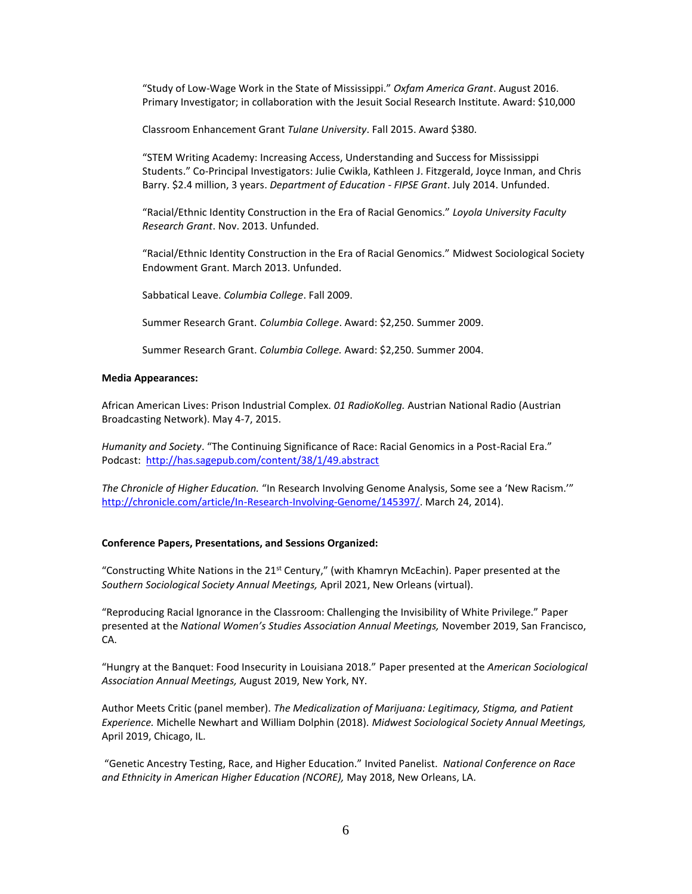"Study of Low-Wage Work in the State of Mississippi." *Oxfam America Grant*. August 2016. Primary Investigator; in collaboration with the Jesuit Social Research Institute. Award: \$10,000

Classroom Enhancement Grant *Tulane University*. Fall 2015. Award \$380.

"STEM Writing Academy: Increasing Access, Understanding and Success for Mississippi Students." Co-Principal Investigators: Julie Cwikla, Kathleen J. Fitzgerald, Joyce Inman, and Chris Barry. \$2.4 million, 3 years. *Department of Education - FIPSE Grant*. July 2014. Unfunded.

"Racial/Ethnic Identity Construction in the Era of Racial Genomics." *Loyola University Faculty Research Grant*. Nov. 2013. Unfunded.

"Racial/Ethnic Identity Construction in the Era of Racial Genomics." Midwest Sociological Society Endowment Grant. March 2013. Unfunded.

Sabbatical Leave. *Columbia College*. Fall 2009.

Summer Research Grant. *Columbia College*. Award: \$2,250. Summer 2009.

Summer Research Grant. *Columbia College.* Award: \$2,250. Summer 2004.

### **Media Appearances:**

African American Lives: Prison Industrial Complex. *01 RadioKolleg.* Austrian National Radio (Austrian Broadcasting Network). May 4-7, 2015.

*Humanity and Society*. "The Continuing Significance of Race: Racial Genomics in a Post-Racial Era." Podcast: <http://has.sagepub.com/content/38/1/49.abstract>

*The Chronicle of Higher Education.* "In Research Involving Genome Analysis, Some see a 'New Racism.'" [http://chronicle.com/article/In-Research-Involving-Genome/145397/.](http://chronicle.com/article/In-Research-Involving-Genome/145397/) March 24, 2014).

#### **Conference Papers, Presentations, and Sessions Organized:**

"Constructing White Nations in the 21<sup>st</sup> Century," (with Khamryn McEachin). Paper presented at the *Southern Sociological Society Annual Meetings,* April 2021, New Orleans (virtual).

"Reproducing Racial Ignorance in the Classroom: Challenging the Invisibility of White Privilege." Paper presented at the *National Women's Studies Association Annual Meetings,* November 2019, San Francisco, CA.

"Hungry at the Banquet: Food Insecurity in Louisiana 2018." Paper presented at the *American Sociological Association Annual Meetings,* August 2019, New York, NY.

Author Meets Critic (panel member). *The Medicalization of Marijuana: Legitimacy, Stigma, and Patient Experience.* Michelle Newhart and William Dolphin (2018). *Midwest Sociological Society Annual Meetings,*  April 2019, Chicago, IL.

"Genetic Ancestry Testing, Race, and Higher Education." Invited Panelist. *National Conference on Race and Ethnicity in American Higher Education (NCORE),* May 2018, New Orleans, LA.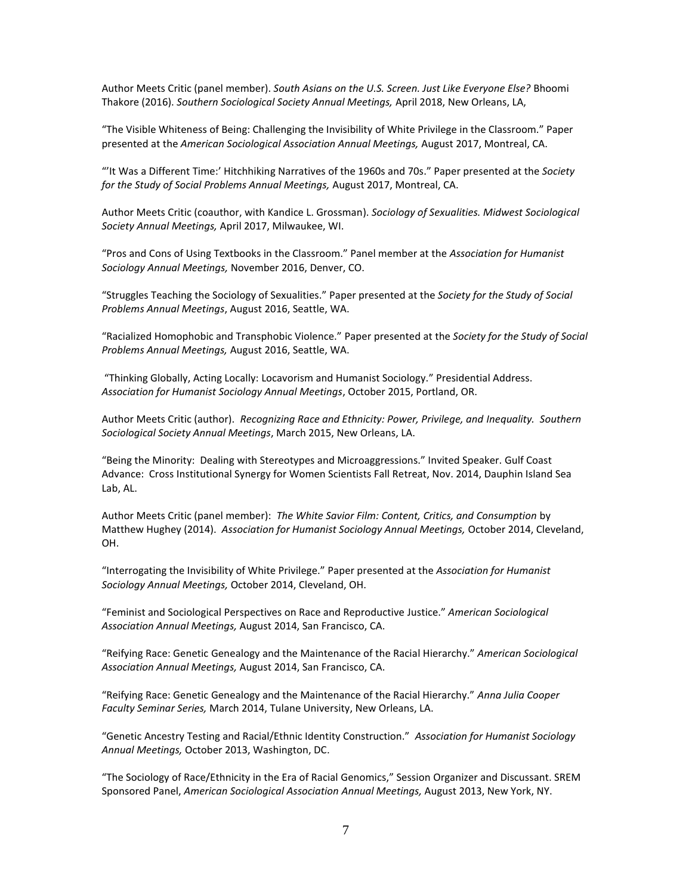Author Meets Critic (panel member). *South Asians on the U.S. Screen. Just Like Everyone Else?* Bhoomi Thakore (2016). *Southern Sociological Society Annual Meetings,* April 2018, New Orleans, LA,

"The Visible Whiteness of Being: Challenging the Invisibility of White Privilege in the Classroom." Paper presented at the *American Sociological Association Annual Meetings,* August 2017, Montreal, CA.

"'It Was a Different Time:' Hitchhiking Narratives of the 1960s and 70s." Paper presented at the *Society for the Study of Social Problems Annual Meetings,* August 2017, Montreal, CA.

Author Meets Critic (coauthor, with Kandice L. Grossman). *Sociology of Sexualities. Midwest Sociological Society Annual Meetings,* April 2017, Milwaukee, WI.

"Pros and Cons of Using Textbooks in the Classroom." Panel member at the *Association for Humanist Sociology Annual Meetings,* November 2016, Denver, CO.

"Struggles Teaching the Sociology of Sexualities." Paper presented at the *Society for the Study of Social Problems Annual Meetings*, August 2016, Seattle, WA.

"Racialized Homophobic and Transphobic Violence." Paper presented at the *Society for the Study of Social Problems Annual Meetings,* August 2016, Seattle, WA.

"Thinking Globally, Acting Locally: Locavorism and Humanist Sociology." Presidential Address. *Association for Humanist Sociology Annual Meetings*, October 2015, Portland, OR.

Author Meets Critic (author). *Recognizing Race and Ethnicity: Power, Privilege, and Inequality. Southern Sociological Society Annual Meetings*, March 2015, New Orleans, LA.

"Being the Minority: Dealing with Stereotypes and Microaggressions." Invited Speaker. Gulf Coast Advance: Cross Institutional Synergy for Women Scientists Fall Retreat, Nov. 2014, Dauphin Island Sea Lab, AL.

Author Meets Critic (panel member): *The White Savior Film: Content, Critics, and Consumption* by Matthew Hughey (2014). *Association for Humanist Sociology Annual Meetings,* October 2014, Cleveland, OH.

"Interrogating the Invisibility of White Privilege." Paper presented at the *Association for Humanist Sociology Annual Meetings,* October 2014, Cleveland, OH.

"Feminist and Sociological Perspectives on Race and Reproductive Justice." *American Sociological Association Annual Meetings,* August 2014, San Francisco, CA.

"Reifying Race: Genetic Genealogy and the Maintenance of the Racial Hierarchy." *American Sociological Association Annual Meetings,* August 2014, San Francisco, CA.

"Reifying Race: Genetic Genealogy and the Maintenance of the Racial Hierarchy." *Anna Julia Cooper Faculty Seminar Series,* March 2014, Tulane University, New Orleans, LA.

"Genetic Ancestry Testing and Racial/Ethnic Identity Construction." *Association for Humanist Sociology Annual Meetings,* October 2013, Washington, DC.

"The Sociology of Race/Ethnicity in the Era of Racial Genomics," Session Organizer and Discussant. SREM Sponsored Panel, *American Sociological Association Annual Meetings,* August 2013, New York, NY.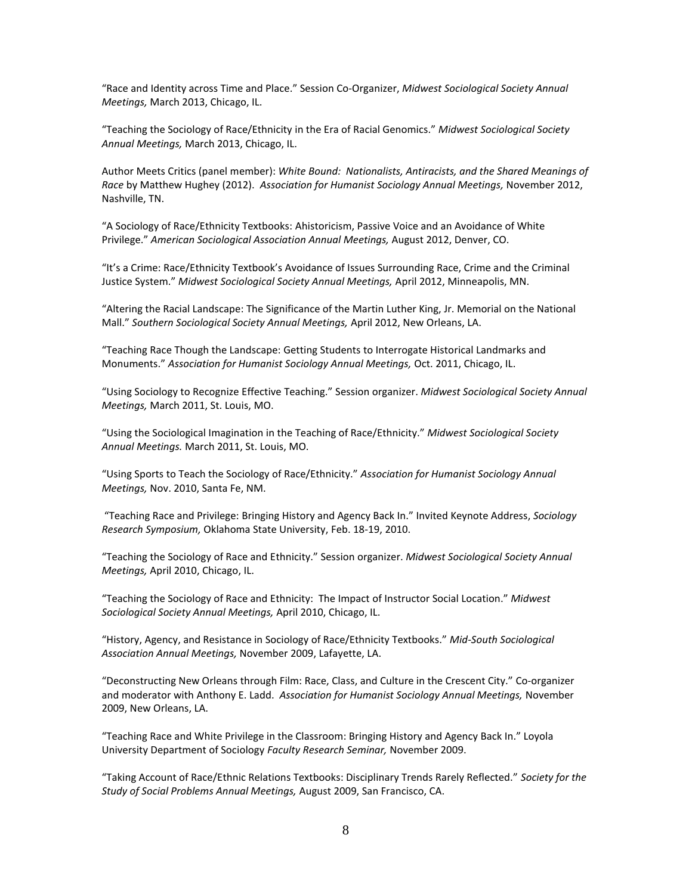"Race and Identity across Time and Place." Session Co-Organizer, *Midwest Sociological Society Annual Meetings,* March 2013, Chicago, IL.

"Teaching the Sociology of Race/Ethnicity in the Era of Racial Genomics." *Midwest Sociological Society Annual Meetings,* March 2013, Chicago, IL.

Author Meets Critics (panel member): *White Bound: Nationalists, Antiracists, and the Shared Meanings of Race* by Matthew Hughey (2012). *Association for Humanist Sociology Annual Meetings,* November 2012, Nashville, TN.

"A Sociology of Race/Ethnicity Textbooks: Ahistoricism, Passive Voice and an Avoidance of White Privilege." *American Sociological Association Annual Meetings,* August 2012, Denver, CO.

"It's a Crime: Race/Ethnicity Textbook's Avoidance of Issues Surrounding Race, Crime and the Criminal Justice System." *Midwest Sociological Society Annual Meetings,* April 2012, Minneapolis, MN.

"Altering the Racial Landscape: The Significance of the Martin Luther King, Jr. Memorial on the National Mall." *Southern Sociological Society Annual Meetings,* April 2012, New Orleans, LA.

"Teaching Race Though the Landscape: Getting Students to Interrogate Historical Landmarks and Monuments." *Association for Humanist Sociology Annual Meetings,* Oct. 2011, Chicago, IL.

"Using Sociology to Recognize Effective Teaching." Session organizer. *Midwest Sociological Society Annual Meetings,* March 2011, St. Louis, MO.

"Using the Sociological Imagination in the Teaching of Race/Ethnicity." *Midwest Sociological Society Annual Meetings.* March 2011, St. Louis, MO.

"Using Sports to Teach the Sociology of Race/Ethnicity." *Association for Humanist Sociology Annual Meetings,* Nov. 2010, Santa Fe, NM.

"Teaching Race and Privilege: Bringing History and Agency Back In." Invited Keynote Address, *Sociology Research Symposium,* Oklahoma State University, Feb. 18-19, 2010.

"Teaching the Sociology of Race and Ethnicity." Session organizer. *Midwest Sociological Society Annual Meetings,* April 2010, Chicago, IL.

"Teaching the Sociology of Race and Ethnicity: The Impact of Instructor Social Location." *Midwest Sociological Society Annual Meetings,* April 2010, Chicago, IL.

"History, Agency, and Resistance in Sociology of Race/Ethnicity Textbooks." *Mid-South Sociological Association Annual Meetings,* November 2009, Lafayette, LA.

"Deconstructing New Orleans through Film: Race, Class, and Culture in the Crescent City." Co-organizer and moderator with Anthony E. Ladd. *Association for Humanist Sociology Annual Meetings,* November 2009, New Orleans, LA.

"Teaching Race and White Privilege in the Classroom: Bringing History and Agency Back In." Loyola University Department of Sociology *Faculty Research Seminar,* November 2009.

"Taking Account of Race/Ethnic Relations Textbooks: Disciplinary Trends Rarely Reflected." *Society for the Study of Social Problems Annual Meetings,* August 2009, San Francisco, CA.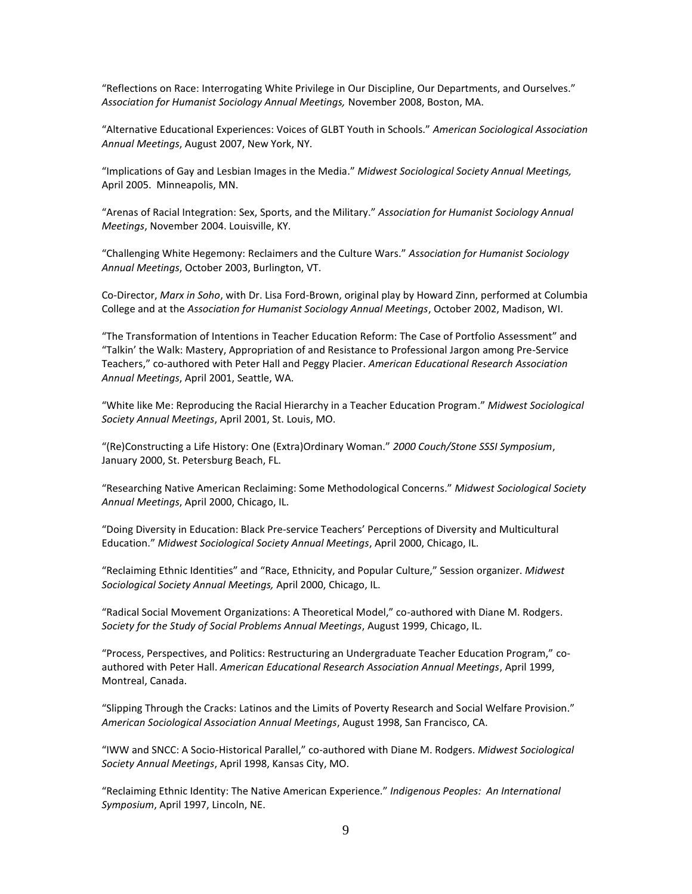"Reflections on Race: Interrogating White Privilege in Our Discipline, Our Departments, and Ourselves." *Association for Humanist Sociology Annual Meetings,* November 2008, Boston, MA.

"Alternative Educational Experiences: Voices of GLBT Youth in Schools." *American Sociological Association Annual Meetings*, August 2007, New York, NY.

"Implications of Gay and Lesbian Images in the Media." *Midwest Sociological Society Annual Meetings,*  April 2005. Minneapolis, MN.

"Arenas of Racial Integration: Sex, Sports, and the Military." *Association for Humanist Sociology Annual Meetings*, November 2004. Louisville, KY.

"Challenging White Hegemony: Reclaimers and the Culture Wars." *Association for Humanist Sociology Annual Meetings*, October 2003, Burlington, VT.

Co-Director, *Marx in Soho*, with Dr. Lisa Ford-Brown, original play by Howard Zinn, performed at Columbia College and at the *Association for Humanist Sociology Annual Meetings*, October 2002, Madison, WI.

"The Transformation of Intentions in Teacher Education Reform: The Case of Portfolio Assessment" and "Talkin' the Walk: Mastery, Appropriation of and Resistance to Professional Jargon among Pre-Service Teachers," co-authored with Peter Hall and Peggy Placier. *American Educational Research Association Annual Meetings*, April 2001, Seattle, WA.

"White like Me: Reproducing the Racial Hierarchy in a Teacher Education Program." *Midwest Sociological Society Annual Meetings*, April 2001, St. Louis, MO.

"(Re)Constructing a Life History: One (Extra)Ordinary Woman." *2000 Couch/Stone SSSI Symposium*, January 2000, St. Petersburg Beach, FL.

"Researching Native American Reclaiming: Some Methodological Concerns." *Midwest Sociological Society Annual Meetings*, April 2000, Chicago, IL.

"Doing Diversity in Education: Black Pre-service Teachers' Perceptions of Diversity and Multicultural Education." *Midwest Sociological Society Annual Meetings*, April 2000, Chicago, IL.

"Reclaiming Ethnic Identities" and "Race, Ethnicity, and Popular Culture," Session organizer. *Midwest Sociological Society Annual Meetings,* April 2000, Chicago, IL.

"Radical Social Movement Organizations: A Theoretical Model," co-authored with Diane M. Rodgers. *Society for the Study of Social Problems Annual Meetings*, August 1999, Chicago, IL.

"Process, Perspectives, and Politics: Restructuring an Undergraduate Teacher Education Program," coauthored with Peter Hall. *American Educational Research Association Annual Meetings*, April 1999, Montreal, Canada.

"Slipping Through the Cracks: Latinos and the Limits of Poverty Research and Social Welfare Provision." *American Sociological Association Annual Meetings*, August 1998, San Francisco, CA.

"IWW and SNCC: A Socio-Historical Parallel," co-authored with Diane M. Rodgers. *Midwest Sociological Society Annual Meetings*, April 1998, Kansas City, MO.

"Reclaiming Ethnic Identity: The Native American Experience." *Indigenous Peoples: An International Symposium*, April 1997, Lincoln, NE.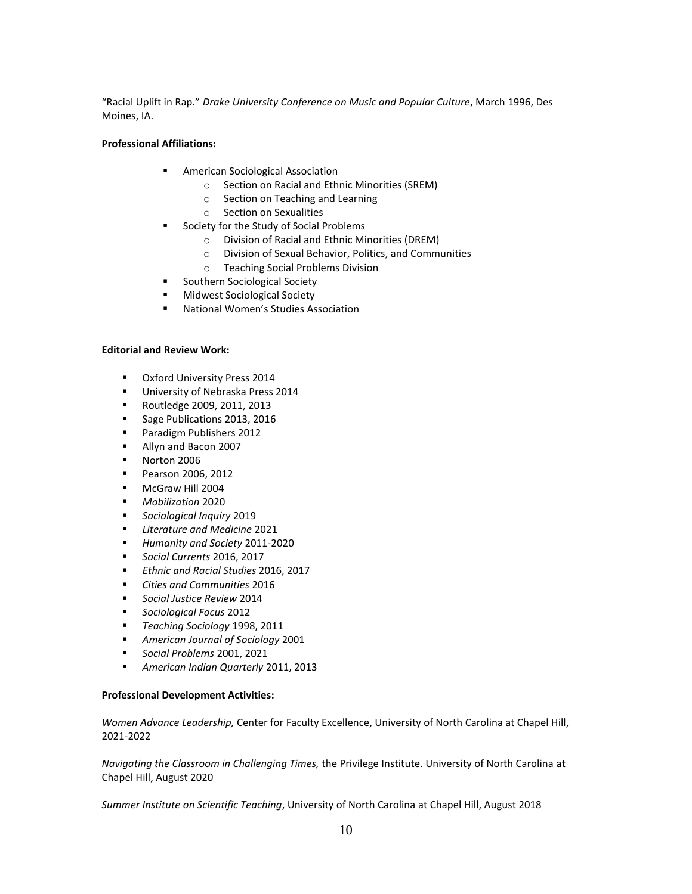"Racial Uplift in Rap." *Drake University Conference on Music and Popular Culture*, March 1996, Des Moines, IA.

## **Professional Affiliations:**

- American Sociological Association
	- o Section on Racial and Ethnic Minorities (SREM)
	- o Section on Teaching and Learning
	- o Section on Sexualities
- Society for the Study of Social Problems
	- o Division of Racial and Ethnic Minorities (DREM)
	- o Division of Sexual Behavior, Politics, and Communities
	- o Teaching Social Problems Division
- Southern Sociological Society
- Midwest Sociological Society
- National Women's Studies Association

## **Editorial and Review Work:**

- Oxford University Press 2014
- **■** University of Nebraska Press 2014
- Routledge 2009, 2011, 2013
- Sage Publications 2013, 2016
- Paradigm Publishers 2012
- Allyn and Bacon 2007
- Norton 2006
- Pearson 2006, 2012
- McGraw Hill 2004
- *Mobilization* 2020
- *Sociological Inquiry* 2019
- *Literature and Medicine* 2021
- *Humanity and Society* 2011-2020
- *Social Currents* 2016, 2017
- *Ethnic and Racial Studies* 2016, 2017
- *Cities and Communities* 2016
- *Social Justice Review* 2014
- *Sociological Focus* 2012
- *Teaching Sociology* 1998, 2011
- *American Journal of Sociology* 2001
- *Social Problems* 2001, 2021
- *American Indian Quarterly* 2011, 2013

## **Professional Development Activities:**

*Women Advance Leadership,* Center for Faculty Excellence, University of North Carolina at Chapel Hill, 2021-2022

*Navigating the Classroom in Challenging Times,* the Privilege Institute. University of North Carolina at Chapel Hill, August 2020

*Summer Institute on Scientific Teaching*, University of North Carolina at Chapel Hill, August 2018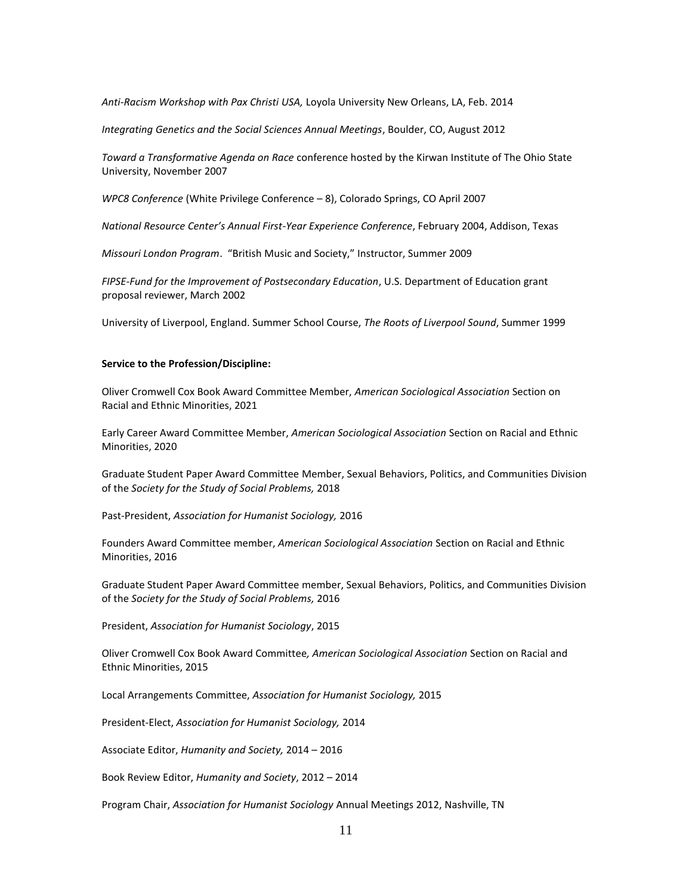*Anti-Racism Workshop with Pax Christi USA,* Loyola University New Orleans, LA, Feb. 2014

*Integrating Genetics and the Social Sciences Annual Meetings*, Boulder, CO, August 2012

*Toward a Transformative Agenda on Race* conference hosted by the Kirwan Institute of The Ohio State University, November 2007

*WPC8 Conference* (White Privilege Conference – 8), Colorado Springs, CO April 2007

*National Resource Center's Annual First-Year Experience Conference*, February 2004, Addison, Texas

*Missouri London Program*. "British Music and Society," Instructor, Summer 2009

*FIPSE-Fund for the Improvement of Postsecondary Education*, U.S. Department of Education grant proposal reviewer, March 2002

University of Liverpool, England. Summer School Course, *The Roots of Liverpool Sound*, Summer 1999

#### **Service to the Profession/Discipline:**

Oliver Cromwell Cox Book Award Committee Member, *American Sociological Association* Section on Racial and Ethnic Minorities, 2021

Early Career Award Committee Member, *American Sociological Association* Section on Racial and Ethnic Minorities, 2020

Graduate Student Paper Award Committee Member, Sexual Behaviors, Politics, and Communities Division of the *Society for the Study of Social Problems,* 2018

Past-President, *Association for Humanist Sociology,* 2016

Founders Award Committee member, *American Sociological Association* Section on Racial and Ethnic Minorities, 2016

Graduate Student Paper Award Committee member, Sexual Behaviors, Politics, and Communities Division of the *Society for the Study of Social Problems,* 2016

President, *Association for Humanist Sociology*, 2015

Oliver Cromwell Cox Book Award Committee*, American Sociological Association* Section on Racial and Ethnic Minorities, 2015

Local Arrangements Committee, *Association for Humanist Sociology,* 2015

President-Elect, *Association for Humanist Sociology,* 2014

Associate Editor, *Humanity and Society,* 2014 – 2016

Book Review Editor, *Humanity and Society*, 2012 – 2014

Program Chair, *Association for Humanist Sociology* Annual Meetings 2012, Nashville, TN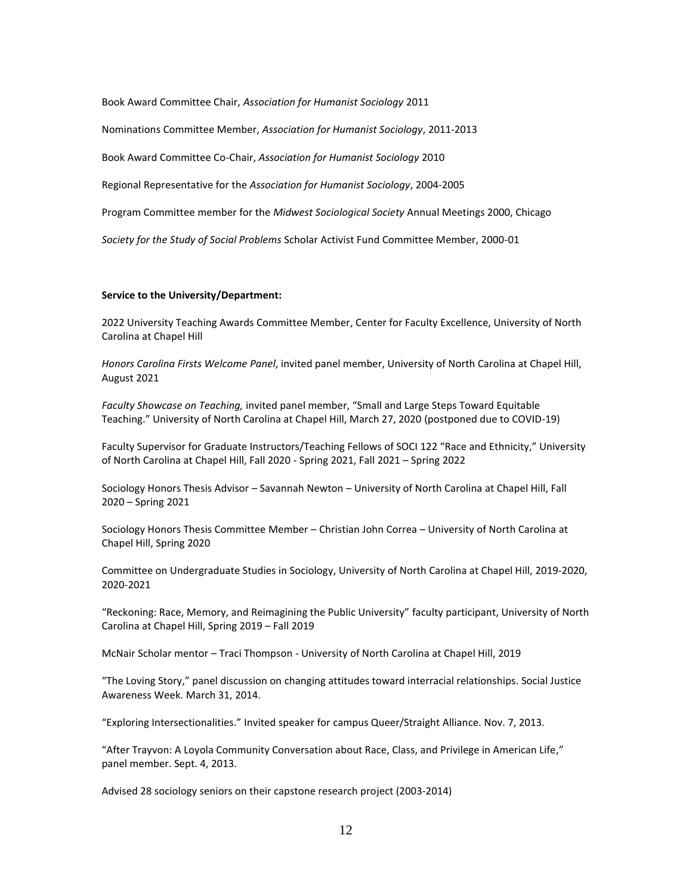Book Award Committee Chair, *Association for Humanist Sociology* 2011

Nominations Committee Member, *Association for Humanist Sociology*, 2011-2013

Book Award Committee Co-Chair, *Association for Humanist Sociology* 2010

Regional Representative for the *Association for Humanist Sociology*, 2004-2005

Program Committee member for the *Midwest Sociological Society* Annual Meetings 2000, Chicago

*Society for the Study of Social Problems* Scholar Activist Fund Committee Member, 2000-01

#### **Service to the University/Department:**

2022 University Teaching Awards Committee Member, Center for Faculty Excellence, University of North Carolina at Chapel Hill

*Honors Carolina Firsts Welcome Panel*, invited panel member, University of North Carolina at Chapel Hill, August 2021

*Faculty Showcase on Teaching,* invited panel member, "Small and Large Steps Toward Equitable Teaching." University of North Carolina at Chapel Hill, March 27, 2020 (postponed due to COVID-19)

Faculty Supervisor for Graduate Instructors/Teaching Fellows of SOCI 122 "Race and Ethnicity," University of North Carolina at Chapel Hill, Fall 2020 - Spring 2021, Fall 2021 – Spring 2022

Sociology Honors Thesis Advisor – Savannah Newton – University of North Carolina at Chapel Hill, Fall 2020 – Spring 2021

Sociology Honors Thesis Committee Member – Christian John Correa – University of North Carolina at Chapel Hill, Spring 2020

Committee on Undergraduate Studies in Sociology, University of North Carolina at Chapel Hill, 2019-2020, 2020-2021

"Reckoning: Race, Memory, and Reimagining the Public University" faculty participant, University of North Carolina at Chapel Hill, Spring 2019 – Fall 2019

McNair Scholar mentor – Traci Thompson - University of North Carolina at Chapel Hill, 2019

"The Loving Story," panel discussion on changing attitudes toward interracial relationships. Social Justice Awareness Week. March 31, 2014.

"Exploring Intersectionalities." Invited speaker for campus Queer/Straight Alliance. Nov. 7, 2013.

"After Trayvon: A Loyola Community Conversation about Race, Class, and Privilege in American Life," panel member. Sept. 4, 2013.

Advised 28 sociology seniors on their capstone research project (2003-2014)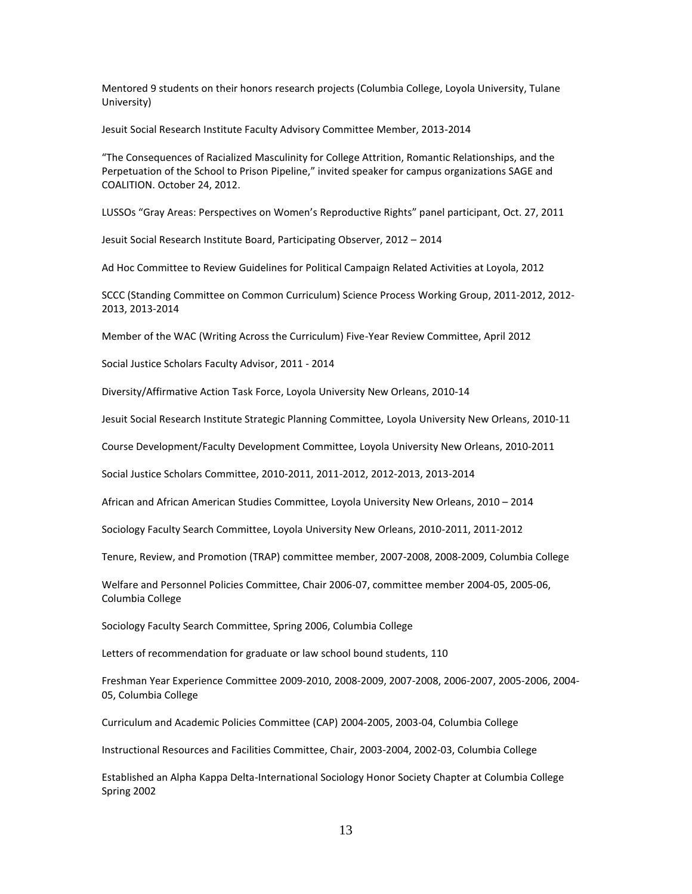Mentored 9 students on their honors research projects (Columbia College, Loyola University, Tulane University)

Jesuit Social Research Institute Faculty Advisory Committee Member, 2013-2014

"The Consequences of Racialized Masculinity for College Attrition, Romantic Relationships, and the Perpetuation of the School to Prison Pipeline," invited speaker for campus organizations SAGE and COALITION. October 24, 2012.

LUSSOs "Gray Areas: Perspectives on Women's Reproductive Rights" panel participant, Oct. 27, 2011

Jesuit Social Research Institute Board, Participating Observer, 2012 – 2014

Ad Hoc Committee to Review Guidelines for Political Campaign Related Activities at Loyola, 2012

SCCC (Standing Committee on Common Curriculum) Science Process Working Group, 2011-2012, 2012- 2013, 2013-2014

Member of the WAC (Writing Across the Curriculum) Five-Year Review Committee, April 2012

Social Justice Scholars Faculty Advisor, 2011 - 2014

Diversity/Affirmative Action Task Force, Loyola University New Orleans, 2010-14

Jesuit Social Research Institute Strategic Planning Committee, Loyola University New Orleans, 2010-11

Course Development/Faculty Development Committee, Loyola University New Orleans, 2010-2011

Social Justice Scholars Committee, 2010-2011, 2011-2012, 2012-2013, 2013-2014

African and African American Studies Committee, Loyola University New Orleans, 2010 – 2014

Sociology Faculty Search Committee, Loyola University New Orleans, 2010-2011, 2011-2012

Tenure, Review, and Promotion (TRAP) committee member, 2007-2008, 2008-2009, Columbia College

Welfare and Personnel Policies Committee, Chair 2006-07, committee member 2004-05, 2005-06, Columbia College

Sociology Faculty Search Committee, Spring 2006, Columbia College

Letters of recommendation for graduate or law school bound students, 110

Freshman Year Experience Committee 2009-2010, 2008-2009, 2007-2008, 2006-2007, 2005-2006, 2004- 05, Columbia College

Curriculum and Academic Policies Committee (CAP) 2004-2005, 2003-04, Columbia College

Instructional Resources and Facilities Committee, Chair, 2003-2004, 2002-03, Columbia College

Established an Alpha Kappa Delta-International Sociology Honor Society Chapter at Columbia College Spring 2002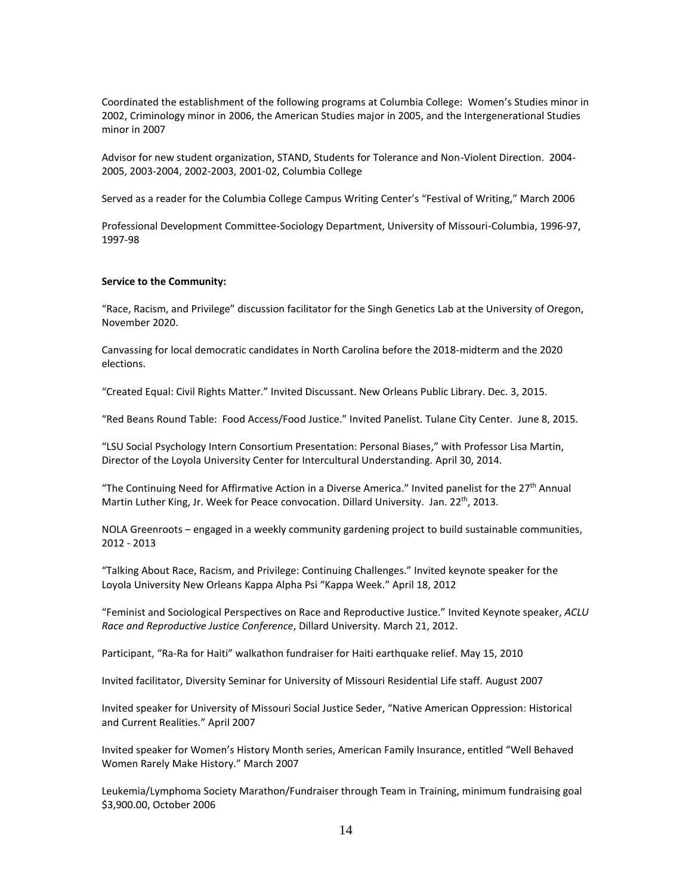Coordinated the establishment of the following programs at Columbia College: Women's Studies minor in 2002, Criminology minor in 2006, the American Studies major in 2005, and the Intergenerational Studies minor in 2007

Advisor for new student organization, STAND, Students for Tolerance and Non-Violent Direction. 2004- 2005, 2003-2004, 2002-2003, 2001-02, Columbia College

Served as a reader for the Columbia College Campus Writing Center's "Festival of Writing," March 2006

Professional Development Committee-Sociology Department, University of Missouri-Columbia, 1996-97, 1997-98

### **Service to the Community:**

"Race, Racism, and Privilege" discussion facilitator for the Singh Genetics Lab at the University of Oregon, November 2020.

Canvassing for local democratic candidates in North Carolina before the 2018-midterm and the 2020 elections.

"Created Equal: Civil Rights Matter." Invited Discussant. New Orleans Public Library. Dec. 3, 2015.

"Red Beans Round Table: Food Access/Food Justice." Invited Panelist. Tulane City Center. June 8, 2015.

"LSU Social Psychology Intern Consortium Presentation: Personal Biases," with Professor Lisa Martin, Director of the Loyola University Center for Intercultural Understanding. April 30, 2014.

"The Continuing Need for Affirmative Action in a Diverse America." Invited panelist for the 27th Annual Martin Luther King, Jr. Week for Peace convocation. Dillard University. Jan. 22<sup>th</sup>, 2013.

NOLA Greenroots – engaged in a weekly community gardening project to build sustainable communities, 2012 - 2013

"Talking About Race, Racism, and Privilege: Continuing Challenges." Invited keynote speaker for the Loyola University New Orleans Kappa Alpha Psi "Kappa Week." April 18, 2012

"Feminist and Sociological Perspectives on Race and Reproductive Justice." Invited Keynote speaker, *ACLU Race and Reproductive Justice Conference*, Dillard University. March 21, 2012.

Participant, "Ra-Ra for Haiti" walkathon fundraiser for Haiti earthquake relief. May 15, 2010

Invited facilitator, Diversity Seminar for University of Missouri Residential Life staff. August 2007

Invited speaker for University of Missouri Social Justice Seder, "Native American Oppression: Historical and Current Realities." April 2007

Invited speaker for Women's History Month series, American Family Insurance, entitled "Well Behaved Women Rarely Make History." March 2007

Leukemia/Lymphoma Society Marathon/Fundraiser through Team in Training, minimum fundraising goal \$3,900.00, October 2006